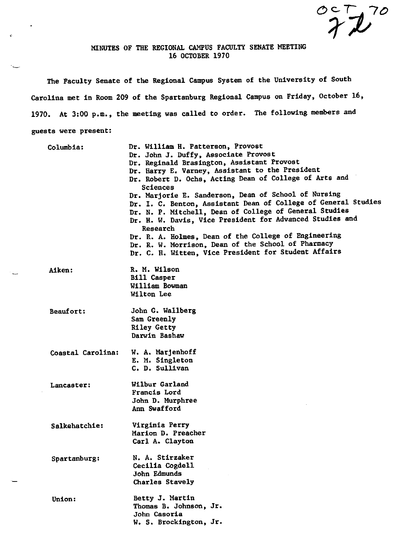$\overset{\circ}{\mathcal{X}}\overset{\circ}{\mathcal{L}}^{7o}$ 

## MINUTES OF THE REGIONAL CAMPUS FACULTY SENATE MEETING 16 OCTOBER 1970

 $\tilde{\phantom{a}}$ 

The Faculty Senate of the Regional Campus System of the University of South Carolina met in Room 209 of the Spartanburg Regional Campus on Friday, October 16, 1970. At 3:00 p.m., the meeting was called to order. The following members and guests were present:

| Columbia:         | Dr. William H. Patterson, Provost<br>Dr. John J. Duffy, Associate Provost<br>Dr. Reginald Brasington, Assistant Provost<br>Dr. Harry E. Varney, Assistant to the President<br>Dr. Robert D. Ochs, Acting Dean of College of Arts and<br>Sciences<br>Dr. Marjorie E. Sanderson, Dean of School of Nursing<br>Dr. I. C. Benton, Assistant Dean of College of General Studies<br>Dr. N. P. Mitchell, Dean of College of General Studies<br>Dr. H. W. Davis, Vice President for Advanced Studies and<br>Research<br>Dr. R. A. Holmes, Dean of the College of Engineering<br>Dr. R. W. Morrison, Dean of the School of Pharmacy<br>Dr. C. H. Witten, Vice President for Student Affairs |
|-------------------|------------------------------------------------------------------------------------------------------------------------------------------------------------------------------------------------------------------------------------------------------------------------------------------------------------------------------------------------------------------------------------------------------------------------------------------------------------------------------------------------------------------------------------------------------------------------------------------------------------------------------------------------------------------------------------|
| <b>Aiken:</b>     | R. M. Wilson<br><b>Bill Casper</b><br>William Bowman<br>Wilton Lee                                                                                                                                                                                                                                                                                                                                                                                                                                                                                                                                                                                                                 |
| <b>Beaufort:</b>  | John G. Wallberg<br>Sam Greenly<br><b>Riley Getty</b><br>Darwin Bashaw                                                                                                                                                                                                                                                                                                                                                                                                                                                                                                                                                                                                             |
| Coastal Carolina: | W. A. Marjenhoff<br>E. M. Singleton<br>C. D. Sullivan                                                                                                                                                                                                                                                                                                                                                                                                                                                                                                                                                                                                                              |
| Lancaster:        | Wilbur Garland<br>Francis Lord<br>John D. Murphree<br>Ann Swafford                                                                                                                                                                                                                                                                                                                                                                                                                                                                                                                                                                                                                 |
| Salkehatchie:     | Virginia Perry<br>Marion D. Preacher<br>Carl A. Clayton                                                                                                                                                                                                                                                                                                                                                                                                                                                                                                                                                                                                                            |
| Spartanburg:      | N. A. Stirzaker<br>Cecilia Cogdell<br>John Edmunds<br>Charles Stavely                                                                                                                                                                                                                                                                                                                                                                                                                                                                                                                                                                                                              |
| Union:            | Betty J. Martin<br>Thomas B. Johnson, Jr.<br>John Casoria<br>W. S. Brockington, Jr.                                                                                                                                                                                                                                                                                                                                                                                                                                                                                                                                                                                                |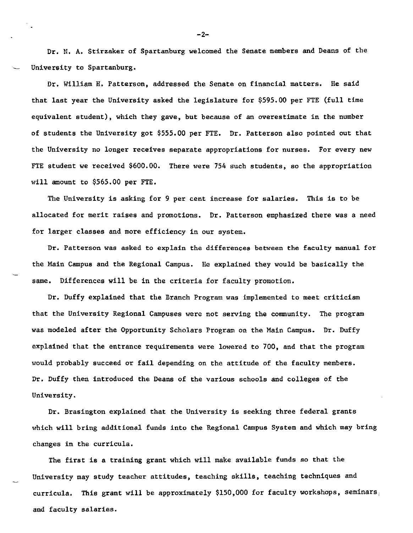Dr. N. A. Stirzaker of Spartanburg welcomed the Senate members and Deans of the University to Spartanburg.

Dr. William R. Patterson, addressed the Senate on financial matters. He said that last year the University asked the legislature for \$595.00 per FTE (full time equivalent student), which they gave, but because of an overestimate in the number of students the University got \$555.00 per FTE. Dr. Patterson also pointed out that the University no longer receives separate appropriations for nurses. For every new FTE student we received \$600.00. There were 754 such students, so the appropriation will amount to \$565.00 per FTE.

The University is asking for 9 per cent increase for salaries. This is to be allocated for merit raises and promotions. Dr. Patterson emphasized there was a need for larger classes and more efficiency in our system.

Dr. Patterson was asked to explain the differences between the faculty manual for the Main Campus and the Regional Campus. He explained they would be basically the same. Differences will be in the criteria for faculty promotion.

Dr. Duffy explained that the Branch Program was implemented to meet criticism that the University Regional Campuses were not serving the community. The program was modeled after the Opportunity Scholars Program on the Main Campus. Dr. Duffy explained that the entrance requirements were lowered to 700, and that the program would probably succeed or fail depending on the attitude of the faculty members. Dr. Duffy then introduced the Deans of the various schools and colleges of the University.

Dr. Brasington explained that the University is seeking three federal grants which will bring additional funds into the Regional Campus System and which may bring changes in the curricula.

The first is a training grant which will make available funds so that the University may study teacher attitudes, teaching skills, teaching techniques and curricula. This grant will be approximately \$150,000 for faculty workshops, seminars. and faculty salaries.

-2-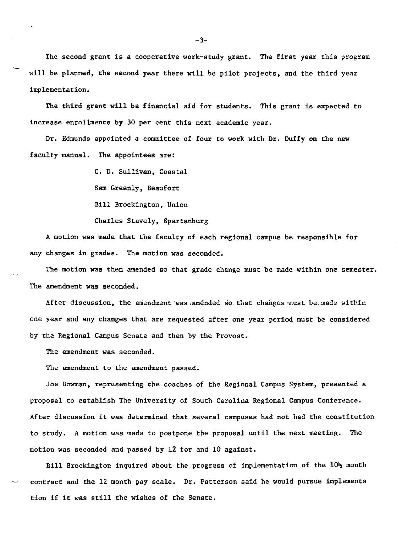The second grant is a cooperative work-study grant. The first year this program will be planned, the second year there will be pilot projects, and the third year implementation.

The third grant will be financial aid for students, This grant is expected to increase enrollments by 30 per cent this next academic year.

Dr, Edmunds appointed a committee of four to work with Dr, Duffy on the new faculty manual. The appointees are:

> C. D, Sullivan, Coastal Sam Greenly, Beaufort Bill Brockington, Union

Charles Stavely, Spartanburg

A motion was made that the faculty of each regional campus be responsible for any changes in grades, The motion was seconded.

The motion was then amended so that grade change must be made within one semester. The amendment was seconded.

After discussion, the amendment was amended so that changes must be made within one year and any changes that are requested after one year period must be considered by the Regional Campus Senate and then by the Provost.

The amendment was seconded.

The amendment to the amendment passed.

Joe Bowman, representing the coaches of the Regional Campus System, presented a proposal to establish The University of South Carolina Regional Campus Conference. After discussion it was determined that several campuses had not had the constitution to study. A motion was made to postpone the proposal until the next meeting, The motion was seconded and passed by 12 for and 10 against.

Bill Brockington inquired about the progress of implementation of the  $10\frac{1}{2}$  month contract and the 12 month pay scale. Dr. Patterson said he would pursue implements tion if it was still the wishes of the Senate.

-3-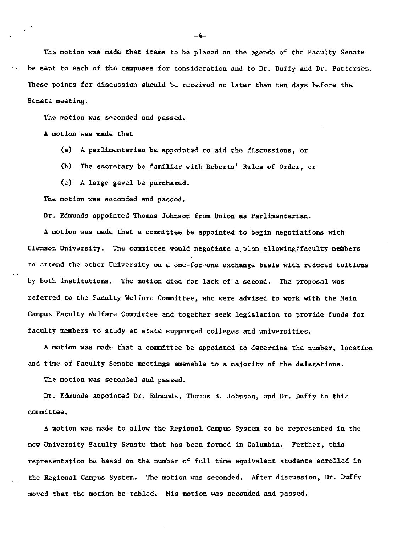The motion was made that items to be placed on the agenda of the Faculty Senate be sent to each of the campuses for consideration and to Dr. Duffy and Dr. Patterson. These points for discussion should be received no later than ten days before the Senate meeting.

The motion was seconded and passed.

A motion was made that

(a) A parlimentarian be appointed to aid the discussions, or

(b) The secretary be familiar with Roberts' Rules of Order, or

(c) A large gavel be purchased.

The motion was seconded and passed.

Dr. Edmunds appointed Thomas Johnson from Union as Parlimentarian.

A motion was made that a committee be appointed to begin negotiations with Clemson University. The committee would negotiate a plan allowing faculty members to attend the other University on a one-for-one exchange basis with reduced tuitions by both institutions. The motion died for lack of a second. The proposal was referred to the Faculty Welfare Committee, who were advised to work with the Main Campus Faculty Welfare Committee and together seek legislation to provide funds for faculty members to study at state supported colleges and universities.

A motion was made that a committee be appointed to determine the number, location and time of Faculty Senate meetings amenable to a majority of the delegations.

The motion was seconded and passed.

Dr. Edmunds appointed Dr. Edmunds, Thomas B. Johnson, and Dr. Duffy to this committee.

A motion was made to allow the Regional Campus System to be represented in the new University Faculty Senate that has been formed in Columbia, Further, this representation be based on the number of full time equivalent students enrolled in the Regional Campus System. The motion was seconded, After discussion, Dr. Duffy moved that the motion be tabled. Mis motion was seconded and passed,

-4-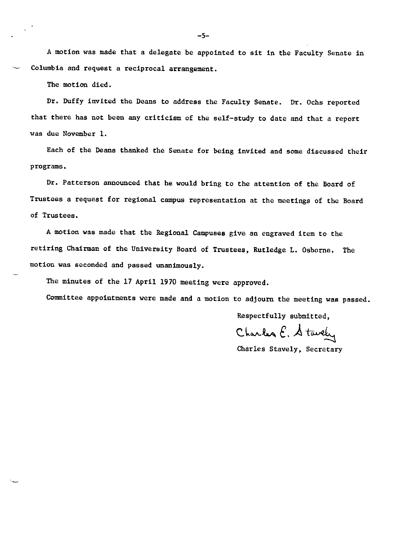A motion was made that a delegate be appointed to sit in the Faculty Senate in Columbia and request a reciprocal arrangement.

The motion died.

Dr. Duffy invited the Deans to address the Faculty Senate. Dr. Ochs reported that there has not been any criticism of the self-study to date and that a report was due November 1.

Each of the Deans thanked the Senate for being invited and some discussed their programs,

Dr, Patterson announced that he would bring to the attention of the Board of Trustees a request for regional campus representation at the meetings of the Board of Trustees.

A motion was made that the Regional Campuses give an engraved item to the retiring Chairman of the University Board of Trustees, Rutledge L. Osborne, The motion was seconded and passed unanimously.

The minutes of the 17 April 1970 meeting were approved,

Committee appointments were made and a motion to adjourn the meeting was passed.

Respectfully submitted,

Charles E. Stavely

Charles Stavely, Secretary